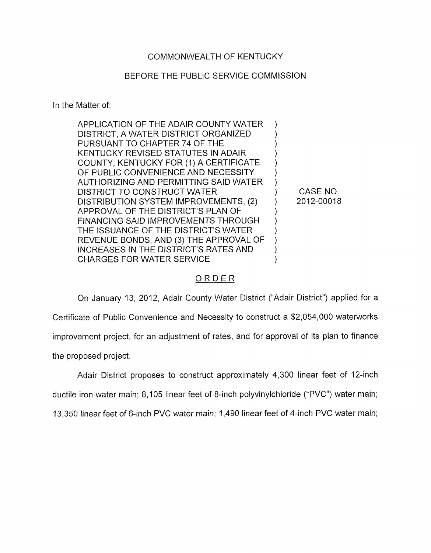# COMMONWEALTH OF KENTUCKY

#### BEFORE THE PUBLIC SERVICE COMMISSION

In the Matter of:

| APPLICATION OF THE ADAIR COUNTY WATER        |  |
|----------------------------------------------|--|
| DISTRICT, A WATER DISTRICT ORGANIZED         |  |
| PURSUANT TO CHAPTER 74 OF THE                |  |
| KENTUCKY REVISED STATUTES IN ADAIR           |  |
| COUNTY, KENTUCKY FOR (1) A CERTIFICATE       |  |
| OF PUBLIC CONVENIENCE AND NECESSITY          |  |
| AUTHORIZING AND PERMITTING SAID WATER        |  |
| DISTRICT TO CONSTRUCT WATER                  |  |
| DISTRIBUTION SYSTEM IMPROVEMENTS, (2)        |  |
| APPROVAL OF THE DISTRICT'S PLAN OF           |  |
| <b>FINANCING SAID IMPROVEMENTS THROUGH</b>   |  |
| THE ISSUANCE OF THE DISTRICT'S WATER         |  |
| REVENUE BONDS, AND (3) THE APPROVAL OF       |  |
| <b>INCREASES IN THE DISTRICT'S RATES AND</b> |  |
| <b>CHARGES FOR WATER SERVICE</b>             |  |
|                                              |  |

CASE NO. 2012-00018

# ORDER

On January 13, 2012, Adair County Water District ("Adair District") applied for a Certificate of Public Convenience and Necessity to construct a \$2,054,000 waterworks improvement project, for an adjustment of rates, and for approval of its plan to finance the proposed project.

Adair District proposes to construct approximately 4,300 linear feet of 12-inch ductile iron water main; 8,105 linear feet of 8-inch polyvinylchloride ("PVC") water main; 13,350 linear feet of 6-inch PVC water main; 1,490 linear feet of 4-inch PVC water main;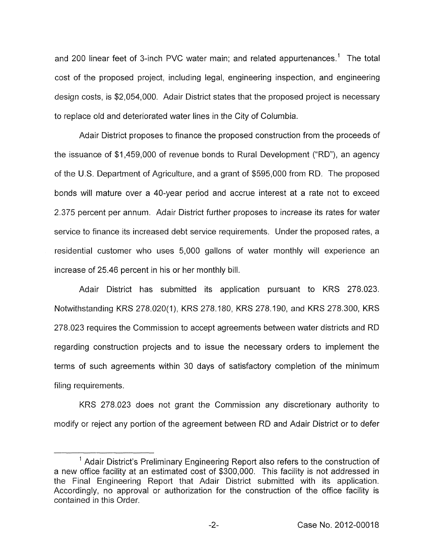and 200 linear feet of 3-inch PVC water main; and related appurtenances.' The total cost of the proposed project, including legal, engineering inspection, and engineering design costs, is \$2,054,000. Adair District states that the proposed project is necessary to replace old and deteriorated water lines in the City of Columbia.

Adair District proposes to finance the proposed construction from the proceeds of the issuance of \$1,459,000 of revenue bonds to Rural Development ("RD"), an agency of the U.S. Department of Agriculture, and a grant of \$595,000 from RD. The proposed bonds will mature over a 40-year period and accrue interest at a rate not to exceed 2.375 percent per annum. Adair District further proposes to increase its rates for water service to finance its increased debt service requirements. Under the proposed rates, a residential customer who uses 5,000 gallons of water monthly will experience an increase of 25.46 percent in his or her monthly bill.

Adair District has submitted its application pursuant to KRS 278.023. Notwithstanding KRS 278.020(1), KRS 278.180, KRS 278.190, and KRS 278.300, KRS 278.023 requires the Commission to accept agreements between water districts and RD regarding construction projects and to issue the necessary orders to implement the terms of such agreements within 30 days of satisfactory completion of the minimum filing requirements.

KRS 278.023 does not grant the Commission any discretionary authority to modify or reject any portion of the agreement between RD and Adair District or to defer

<sup>&</sup>lt;sup>1</sup> Adair District's Preliminary Engineering Report also refers to the construction of a new office facility at an estimated cost of \$300,000. This facility is not addressed in the Final Engineering Report that Adair District submitted with its application. Accordingly, no approval or authorization for the construction of the office facility is contained in this Order.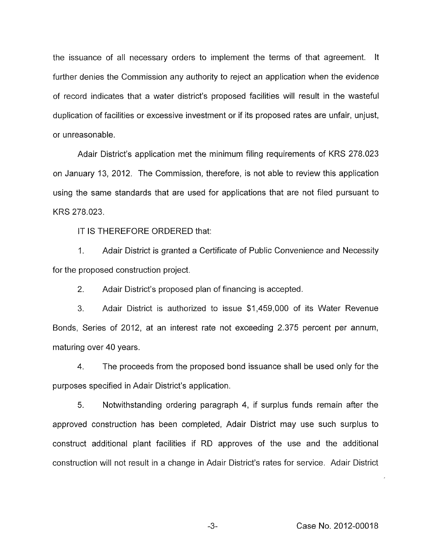the issuance of all necessary orders to implement the terms of that agreement. It further denies the Commission any authority to reject an application when the evidence of record indicates that a water district's proposed facilities will result in the wasteful duplication of facilities or excessive investment or if its proposed rates are unfair, unjust, or unreasonable.

Adair District's application met the minimum filing requirements of KRS 278.023 on January 13, 2012. The Commission, therefore, is not able to review this application using the same standards that are used for applications that are not filed pursuant to KRS 278.023.

IT IS THEREFORE ORDERED that:

I. Adair District is granted a Certificate of Public Convenience and Necessity for the proposed construction project.

2. Adair District's proposed plan of financing is accepted.

3. Adair District is authorized to issue \$1,459,000 of its Water Revenue Bonds, Series of 2012, at an interest rate not exceeding 2.375 percent per annum, maturing over 40 years.

**4.** The proceeds from the proposed bond issuance shall be used only for the purposes specified in Adair District's application.

*5.* Notwithstanding ordering paragraph **4,** if surplus funds remain after the approved construction has been completed, Adair District may use such surplus to construct additional plant facilities if RD approves of the use and the additional construction will not result in a change in Adair District's rates for service. Adair District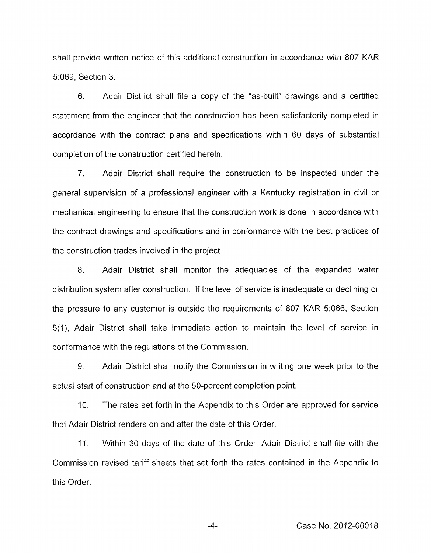shall provide written notice of this additional construction in accordance with 807 KAR 5:069, Section 3.

6. Adair District shall file a copy of the "as-built" drawings and a certified statement from the engineer that the construction has been satisfactorily completed in accordance with the contract plans and specifications within 60 days of substantial completion of the construction certified herein.

7. Adair District shall require the construction to be inspected under the general supervision *of* a professional engineer with a Kentucky registration in civil or mechanical engineering to ensure that the construction work is done in accordance with the contract drawings and specifications and in conformance with the best practices of the construction trades involved in the project.

8. Adair District shall monitor the adequacies of the expanded water distribution system after construction. If the level of service is inadequate or declining or the pressure to any customer is outside the requirements of 807 KAR 5:066, Section 5(1), Adair District shall take immediate action to maintain the level of service in conformance with the regulations of the Commission.

9. Adair District shall notify the Commission in writing one week prior to the actual start of construction and at the 50-percent completion point.

IO. The rates set forth in the Appendix to this Order are approved for service that Adair District renders on and after the date of this Order.

11. Within 30 days of the date of this Order, Adair District shall file with the Commission revised tariff sheets that set forth the rates contained in the Appendix to this Order.

**-4-** Case No. 2012-00018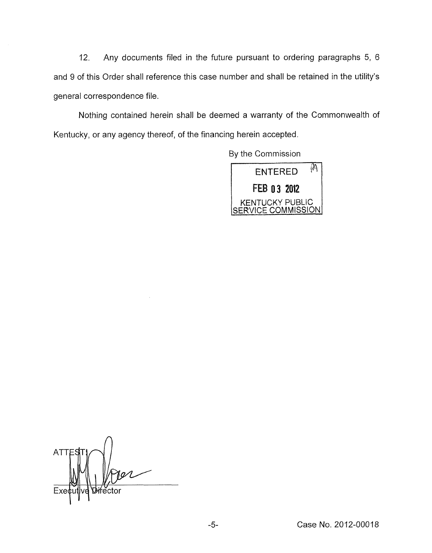12. Any documents filed in the future pursuant to ordering paragraphs 5, 6 and 9 of this Order shall reference this case number and shall be retained in the utility's general correspondence file.

Nothing contained herein shall be deemed a warranty of the Commonwealth of Kentucky, or any agency thereof, of the financing herein accepted.

By the Commission



**ATT** Exe ector'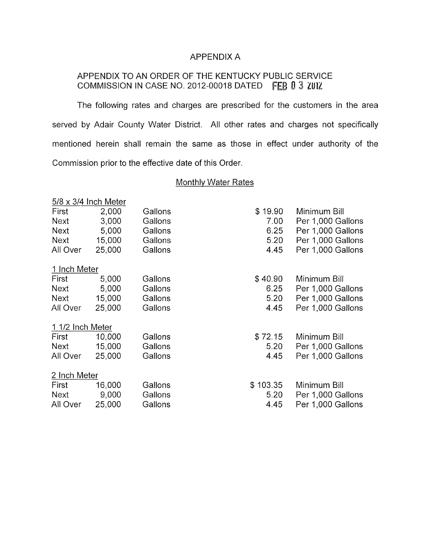## APPENDIX A

# APPENDIX TO AN ORDER OF THE KENTUCKY PUBLIC SERVICE COMMISSION IN CASE NO. 2012-00018 DATED FEB 0 3 2012

The following rates and charges are prescribed for the customers in the area served by Adair County Water District. All other rates and charges not specifically mentioned herein shall remain the same as those in effect under authority of the Commission prior to the effective date of this Order.

#### **Monthly Water Rates**

|                  | $5/8 \times 3/4$ Inch Meter |         |          |                   |
|------------------|-----------------------------|---------|----------|-------------------|
| First            | 2,000                       | Gallons | \$19.90  | Minimum Bill      |
| Next             | 3,000                       | Gallons | 7.00     | Per 1,000 Gallons |
| Next             | 5,000                       | Gallons | 6.25     | Per 1,000 Gallons |
| <b>Next</b>      | 15,000                      | Gallons | 5.20     | Per 1,000 Gallons |
| All Over         | 25,000                      | Gallons | 4.45     | Per 1,000 Gallons |
| 1 Inch Meter     |                             |         |          |                   |
| First            | 5,000                       | Gallons | \$40.90  | Minimum Bill      |
| Next             | 5,000                       | Gallons | 6.25     | Per 1,000 Gallons |
| Next             | 15,000                      | Gallons | 5.20     | Per 1,000 Gallons |
| All Over         | 25,000                      | Gallons | 4.45     | Per 1,000 Gallons |
| 1 1/2 Inch Meter |                             |         |          |                   |
| First            | 10,000                      | Gallons | \$72.15  | Minimum Bill      |
| Next             | 15,000                      | Gallons | 5.20     | Per 1,000 Gallons |
| All Over         | 25,000                      | Gallons | 4.45     | Per 1,000 Gallons |
| 2 Inch Meter     |                             |         |          |                   |
| First            | 16,000                      | Gallons | \$103.35 | Minimum Bill      |
| Next             | 9,000                       | Gallons | 5.20     | Per 1,000 Gallons |
| All Over         | 25,000                      | Gallons | 4.45     | Per 1,000 Gallons |